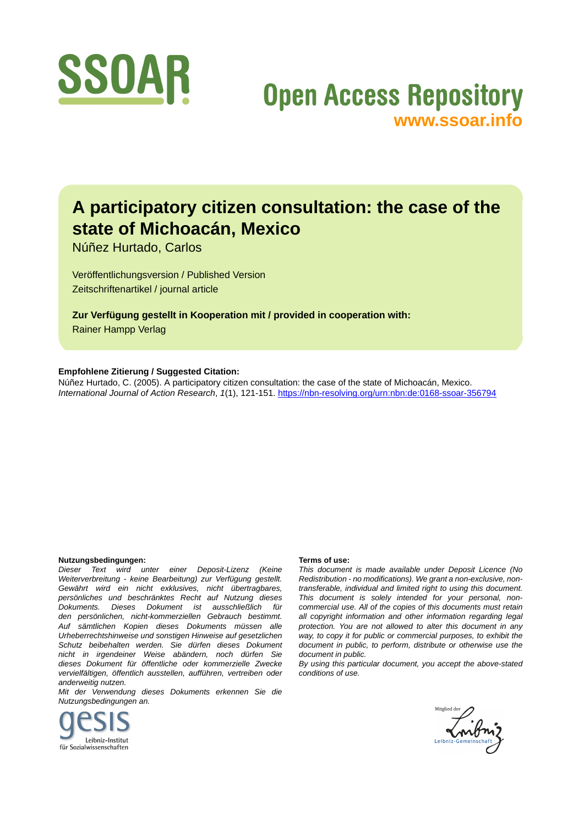

# **Open Access Repository [www.ssoar.info](http://www.ssoar.info)**

# **A participatory citizen consultation: the case of the state of Michoacán, Mexico**

Núñez Hurtado, Carlos

Veröffentlichungsversion / Published Version Zeitschriftenartikel / journal article

**Zur Verfügung gestellt in Kooperation mit / provided in cooperation with:** Rainer Hampp Verlag

## **Empfohlene Zitierung / Suggested Citation:**

Núñez Hurtado, C. (2005). A participatory citizen consultation: the case of the state of Michoacán, Mexico. *International Journal of Action Research*, *1*(1), 121-151.<https://nbn-resolving.org/urn:nbn:de:0168-ssoar-356794>

#### **Nutzungsbedingungen:**

*Dieser Text wird unter einer Deposit-Lizenz (Keine Weiterverbreitung - keine Bearbeitung) zur Verfügung gestellt. Gewährt wird ein nicht exklusives, nicht übertragbares, persönliches und beschränktes Recht auf Nutzung dieses Dokuments. Dieses Dokument ist ausschließlich für den persönlichen, nicht-kommerziellen Gebrauch bestimmt. Auf sämtlichen Kopien dieses Dokuments müssen alle Urheberrechtshinweise und sonstigen Hinweise auf gesetzlichen Schutz beibehalten werden. Sie dürfen dieses Dokument nicht in irgendeiner Weise abändern, noch dürfen Sie dieses Dokument für öffentliche oder kommerzielle Zwecke vervielfältigen, öffentlich ausstellen, aufführen, vertreiben oder anderweitig nutzen.*

*Mit der Verwendung dieses Dokuments erkennen Sie die Nutzungsbedingungen an.*



#### **Terms of use:**

*This document is made available under Deposit Licence (No Redistribution - no modifications). We grant a non-exclusive, nontransferable, individual and limited right to using this document. This document is solely intended for your personal, noncommercial use. All of the copies of this documents must retain all copyright information and other information regarding legal protection. You are not allowed to alter this document in any way, to copy it for public or commercial purposes, to exhibit the document in public, to perform, distribute or otherwise use the document in public.*

*By using this particular document, you accept the above-stated conditions of use.*

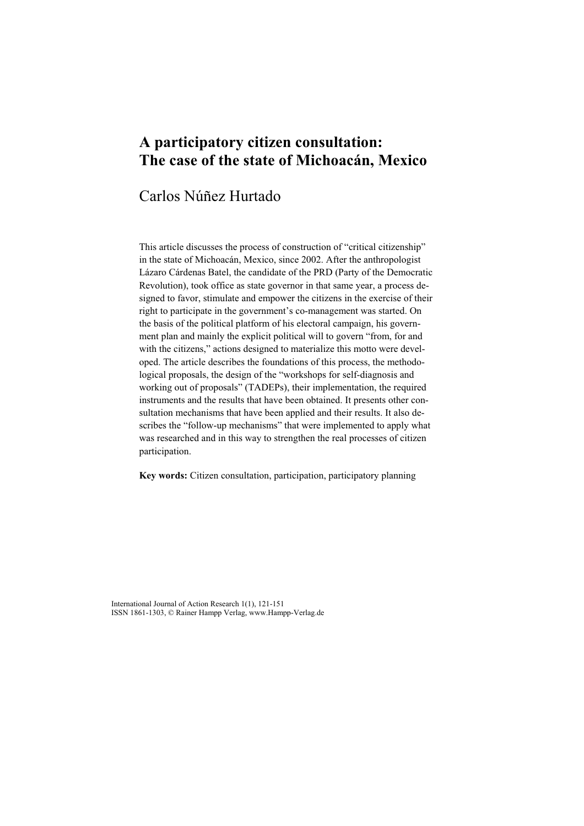## **A participatory citizen consultation: The case of the state of Michoacán, Mexico**

## Carlos Núñez Hurtado

This article discusses the process of construction of "critical citizenship" in the state of Michoacán, Mexico, since 2002. After the anthropologist Lázaro Cárdenas Batel, the candidate of the PRD (Party of the Democratic Revolution), took office as state governor in that same year, a process designed to favor, stimulate and empower the citizens in the exercise of their right to participate in the government's co-management was started. On the basis of the political platform of his electoral campaign, his government plan and mainly the explicit political will to govern "from, for and with the citizens," actions designed to materialize this motto were developed. The article describes the foundations of this process, the methodological proposals, the design of the "workshops for self-diagnosis and working out of proposals" (TADEPs), their implementation, the required instruments and the results that have been obtained. It presents other consultation mechanisms that have been applied and their results. It also describes the "follow-up mechanisms" that were implemented to apply what was researched and in this way to strengthen the real processes of citizen participation.

**Key words:** Citizen consultation, participation, participatory planning

International Journal of Action Research 1(1), 121-151 ISSN 1861-1303, © Rainer Hampp Verlag, www.Hampp-Verlag.de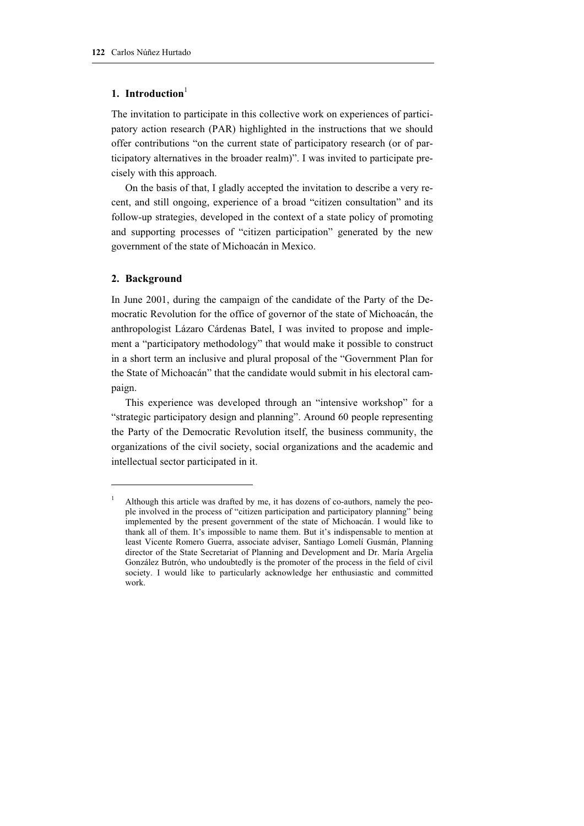## **1.** Introduction<sup>1</sup>

The invitation to participate in this collective work on experiences of participatory action research (PAR) highlighted in the instructions that we should offer contributions "on the current state of participatory research (or of participatory alternatives in the broader realm)". I was invited to participate precisely with this approach.

On the basis of that, I gladly accepted the invitation to describe a very recent, and still ongoing, experience of a broad "citizen consultation" and its follow-up strategies, developed in the context of a state policy of promoting and supporting processes of "citizen participation" generated by the new government of the state of Michoacán in Mexico.

## **2. Background**

In June 2001, during the campaign of the candidate of the Party of the Democratic Revolution for the office of governor of the state of Michoacán, the anthropologist Lázaro Cárdenas Batel, I was invited to propose and implement a "participatory methodology" that would make it possible to construct in a short term an inclusive and plural proposal of the "Government Plan for the State of Michoacán" that the candidate would submit in his electoral campaign.

This experience was developed through an "intensive workshop" for a "strategic participatory design and planning". Around 60 people representing the Party of the Democratic Revolution itself, the business community, the organizations of the civil society, social organizations and the academic and intellectual sector participated in it.

Although this article was drafted by me, it has dozens of co-authors, namely the people involved in the process of "citizen participation and participatory planning" being implemented by the present government of the state of Michoacán. I would like to thank all of them. It's impossible to name them. But it's indispensable to mention at least Vicente Romero Guerra, associate adviser, Santiago Lomelí Gusmán, Planning director of the State Secretariat of Planning and Development and Dr. María Argelia González Butrón, who undoubtedly is the promoter of the process in the field of civil society. I would like to particularly acknowledge her enthusiastic and committed work.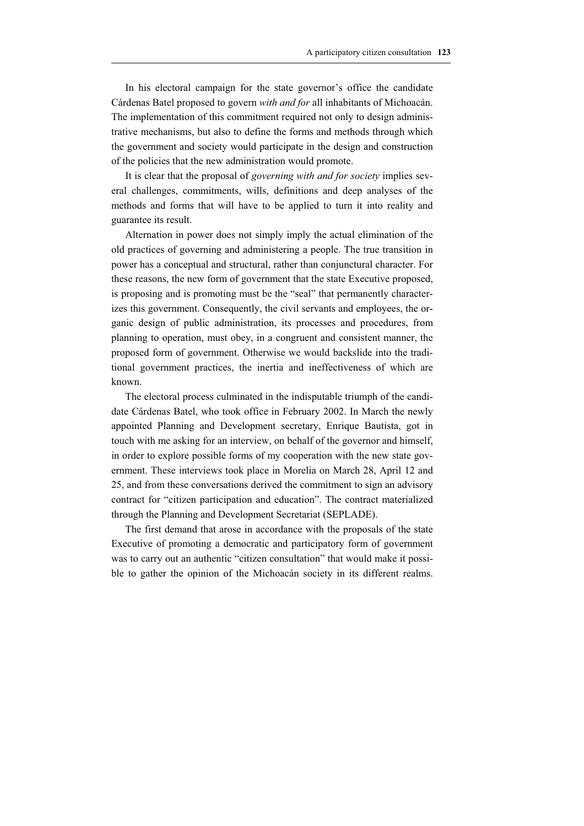In his electoral campaign for the state governor's office the candidate Cárdenas Batel proposed to govern *with and for* all inhabitants of Michoacán. The implementation of this commitment required not only to design administrative mechanisms, but also to define the forms and methods through which the government and society would participate in the design and construction of the policies that the new administration would promote.

It is clear that the proposal of *governing with and for society* implies several challenges, commitments, wills, definitions and deep analyses of the methods and forms that will have to be applied to turn it into reality and guarantee its result.

Alternation in power does not simply imply the actual elimination of the old practices of governing and administering a people. The true transition in power has a conceptual and structural, rather than conjunctural character. For these reasons, the new form of government that the state Executive proposed, is proposing and is promoting must be the "seal" that permanently characterizes this government. Consequently, the civil servants and employees, the organic design of public administration, its processes and procedures, from planning to operation, must obey, in a congruent and consistent manner, the proposed form of government. Otherwise we would backslide into the traditional government practices, the inertia and ineffectiveness of which are known.

The electoral process culminated in the indisputable triumph of the candidate Cárdenas Batel, who took office in February 2002. In March the newly appointed Planning and Development secretary, Enrique Bautista, got in touch with me asking for an interview, on behalf of the governor and himself, in order to explore possible forms of my cooperation with the new state government. These interviews took place in Morelia on March 28, April 12 and 25, and from these conversations derived the commitment to sign an advisory contract for "citizen participation and education". The contract materialized through the Planning and Development Secretariat (SEPLADE).

The first demand that arose in accordance with the proposals of the state Executive of promoting a democratic and participatory form of government was to carry out an authentic "citizen consultation" that would make it possible to gather the opinion of the Michoacán society in its different realms.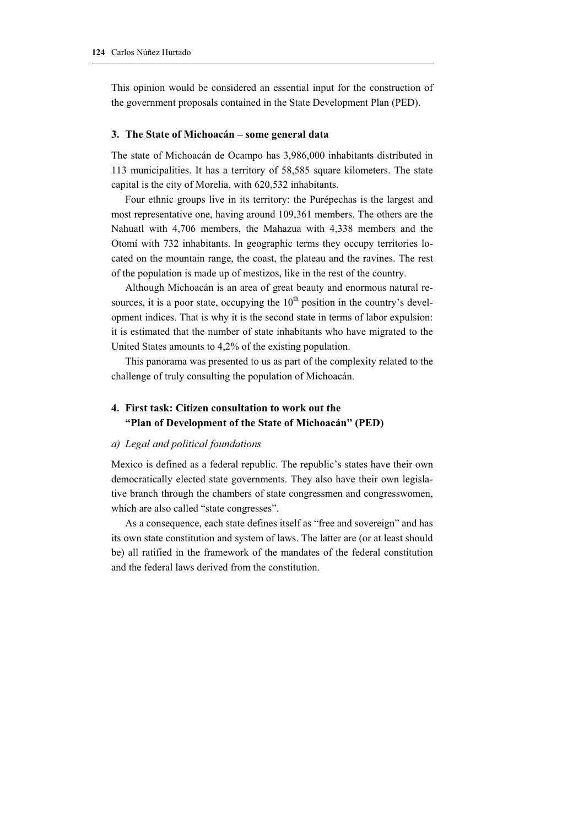This opinion would be considered an essential input for the construction of the government proposals contained in the State Development Plan (PED).

## **3. The State of Michoacán – some general data**

The state of Michoacán de Ocampo has 3,986,000 inhabitants distributed in 113 municipalities. It has a territory of 58,585 square kilometers. The state capital is the city of Morelia, with 620,532 inhabitants.

Four ethnic groups live in its territory: the Purépechas is the largest and most representative one, having around 109,361 members. The others are the Nahuatl with 4,706 members, the Mahazua with 4,338 members and the Otomí with 732 inhabitants. In geographic terms they occupy territories located on the mountain range, the coast, the plateau and the ravines. The rest of the population is made up of mestizos, like in the rest of the country.

Although Michoacán is an area of great beauty and enormous natural resources, it is a poor state, occupying the  $10<sup>th</sup>$  position in the country's development indices. That is why it is the second state in terms of labor expulsion: it is estimated that the number of state inhabitants who have migrated to the United States amounts to 4,2% of the existing population.

This panorama was presented to us as part of the complexity related to the challenge of truly consulting the population of Michoacán.

## **4. First task: Citizen consultation to work out the "Plan of Development of the State of Michoacán" (PED)**

## *a) Legal and political foundations*

Mexico is defined as a federal republic. The republic's states have their own democratically elected state governments. They also have their own legislative branch through the chambers of state congressmen and congresswomen, which are also called "state congresses".

As a consequence, each state defines itself as "free and sovereign" and has its own state constitution and system of laws. The latter are (or at least should be) all ratified in the framework of the mandates of the federal constitution and the federal laws derived from the constitution.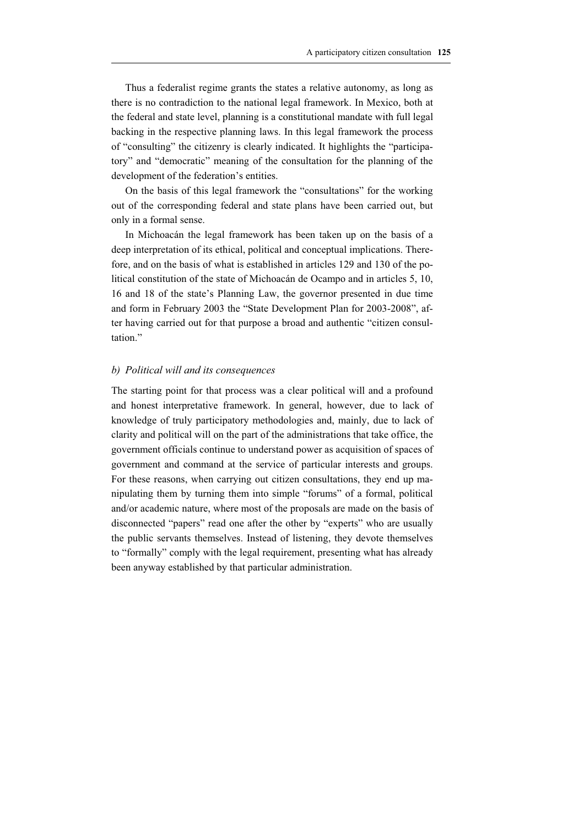Thus a federalist regime grants the states a relative autonomy, as long as there is no contradiction to the national legal framework. In Mexico, both at the federal and state level, planning is a constitutional mandate with full legal backing in the respective planning laws. In this legal framework the process of "consulting" the citizenry is clearly indicated. It highlights the "participatory" and "democratic" meaning of the consultation for the planning of the development of the federation's entities.

On the basis of this legal framework the "consultations" for the working out of the corresponding federal and state plans have been carried out, but only in a formal sense.

In Michoacán the legal framework has been taken up on the basis of a deep interpretation of its ethical, political and conceptual implications. Therefore, and on the basis of what is established in articles 129 and 130 of the political constitution of the state of Michoacán de Ocampo and in articles 5, 10, 16 and 18 of the state's Planning Law, the governor presented in due time and form in February 2003 the "State Development Plan for 2003-2008", after having carried out for that purpose a broad and authentic "citizen consultation."

## *b) Political will and its consequences*

The starting point for that process was a clear political will and a profound and honest interpretative framework. In general, however, due to lack of knowledge of truly participatory methodologies and, mainly, due to lack of clarity and political will on the part of the administrations that take office, the government officials continue to understand power as acquisition of spaces of government and command at the service of particular interests and groups. For these reasons, when carrying out citizen consultations, they end up manipulating them by turning them into simple "forums" of a formal, political and/or academic nature, where most of the proposals are made on the basis of disconnected "papers" read one after the other by "experts" who are usually the public servants themselves. Instead of listening, they devote themselves to "formally" comply with the legal requirement, presenting what has already been anyway established by that particular administration.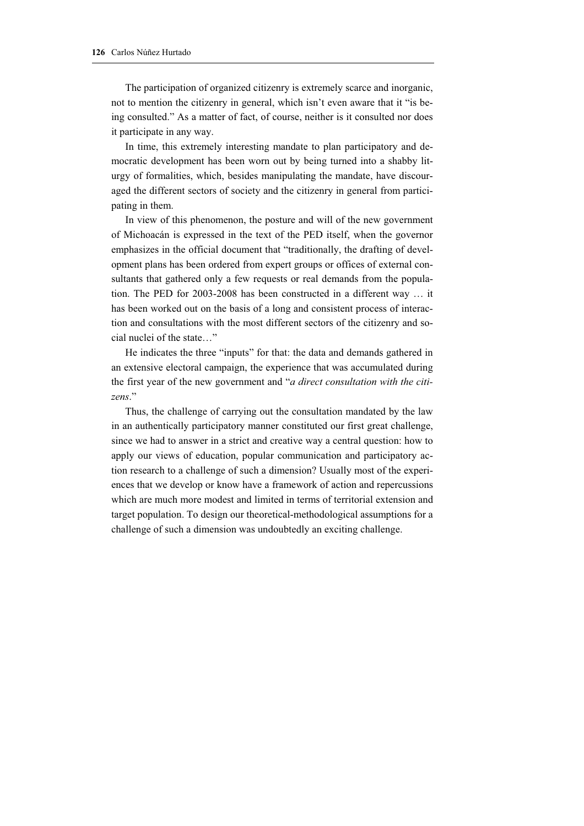The participation of organized citizenry is extremely scarce and inorganic, not to mention the citizenry in general, which isn't even aware that it "is being consulted." As a matter of fact, of course, neither is it consulted nor does it participate in any way.

In time, this extremely interesting mandate to plan participatory and democratic development has been worn out by being turned into a shabby liturgy of formalities, which, besides manipulating the mandate, have discouraged the different sectors of society and the citizenry in general from participating in them.

In view of this phenomenon, the posture and will of the new government of Michoacán is expressed in the text of the PED itself, when the governor emphasizes in the official document that "traditionally, the drafting of development plans has been ordered from expert groups or offices of external consultants that gathered only a few requests or real demands from the population. The PED for 2003-2008 has been constructed in a different way … it has been worked out on the basis of a long and consistent process of interaction and consultations with the most different sectors of the citizenry and social nuclei of the state…"

He indicates the three "inputs" for that: the data and demands gathered in an extensive electoral campaign, the experience that was accumulated during the first year of the new government and "*a direct consultation with the citizens*."

Thus, the challenge of carrying out the consultation mandated by the law in an authentically participatory manner constituted our first great challenge, since we had to answer in a strict and creative way a central question: how to apply our views of education, popular communication and participatory action research to a challenge of such a dimension? Usually most of the experiences that we develop or know have a framework of action and repercussions which are much more modest and limited in terms of territorial extension and target population. To design our theoretical-methodological assumptions for a challenge of such a dimension was undoubtedly an exciting challenge.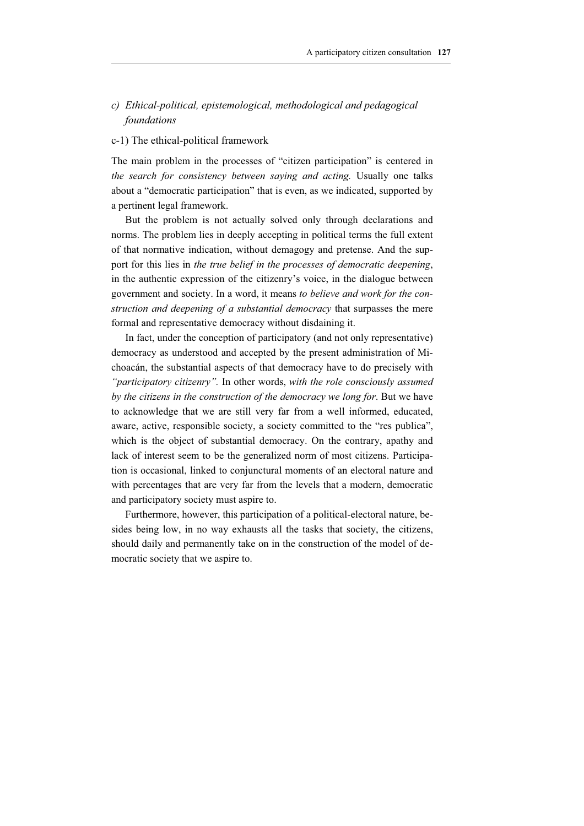## *c) Ethical-political, epistemological, methodological and pedagogical foundations*

## c-1) The ethical-political framework

The main problem in the processes of "citizen participation" is centered in *the search for consistency between saying and acting.* Usually one talks about a "democratic participation" that is even, as we indicated, supported by a pertinent legal framework.

But the problem is not actually solved only through declarations and norms. The problem lies in deeply accepting in political terms the full extent of that normative indication, without demagogy and pretense. And the support for this lies in *the true belief in the processes of democratic deepening*, in the authentic expression of the citizenry's voice, in the dialogue between government and society. In a word, it means *to believe and work for the construction and deepening of a substantial democracy* that surpasses the mere formal and representative democracy without disdaining it.

In fact, under the conception of participatory (and not only representative) democracy as understood and accepted by the present administration of Michoacán, the substantial aspects of that democracy have to do precisely with *"participatory citizenry".* In other words, *with the role consciously assumed by the citizens in the construction of the democracy we long for*. But we have to acknowledge that we are still very far from a well informed, educated, aware, active, responsible society, a society committed to the "res publica", which is the object of substantial democracy. On the contrary, apathy and lack of interest seem to be the generalized norm of most citizens. Participation is occasional, linked to conjunctural moments of an electoral nature and with percentages that are very far from the levels that a modern, democratic and participatory society must aspire to.

Furthermore, however, this participation of a political-electoral nature, besides being low, in no way exhausts all the tasks that society, the citizens, should daily and permanently take on in the construction of the model of democratic society that we aspire to.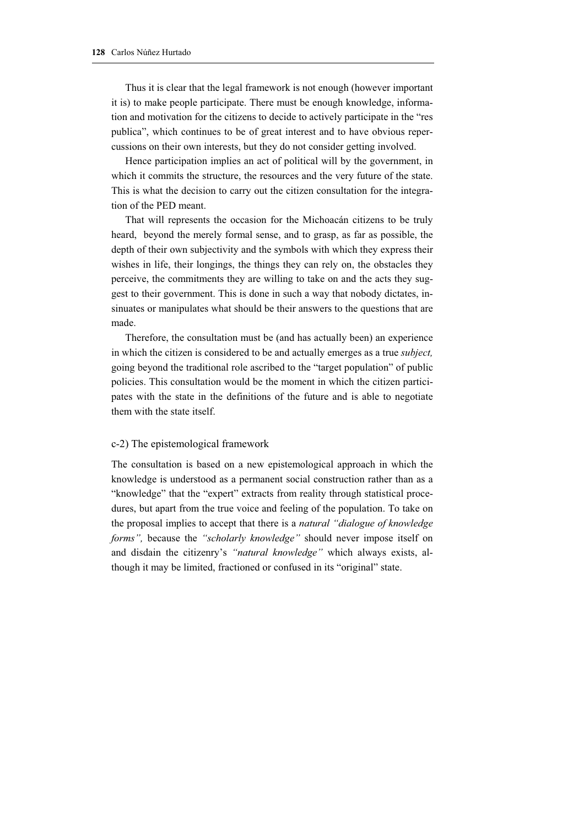Thus it is clear that the legal framework is not enough (however important it is) to make people participate. There must be enough knowledge, information and motivation for the citizens to decide to actively participate in the "res publica", which continues to be of great interest and to have obvious repercussions on their own interests, but they do not consider getting involved.

Hence participation implies an act of political will by the government, in which it commits the structure, the resources and the very future of the state. This is what the decision to carry out the citizen consultation for the integration of the PED meant.

That will represents the occasion for the Michoacán citizens to be truly heard, beyond the merely formal sense, and to grasp, as far as possible, the depth of their own subjectivity and the symbols with which they express their wishes in life, their longings, the things they can rely on, the obstacles they perceive, the commitments they are willing to take on and the acts they suggest to their government. This is done in such a way that nobody dictates, insinuates or manipulates what should be their answers to the questions that are made.

Therefore, the consultation must be (and has actually been) an experience in which the citizen is considered to be and actually emerges as a true *subject,* going beyond the traditional role ascribed to the "target population" of public policies. This consultation would be the moment in which the citizen participates with the state in the definitions of the future and is able to negotiate them with the state itself.

## c-2) The epistemological framework

The consultation is based on a new epistemological approach in which the knowledge is understood as a permanent social construction rather than as a "knowledge" that the "expert" extracts from reality through statistical procedures, but apart from the true voice and feeling of the population. To take on the proposal implies to accept that there is a *natural "dialogue of knowledge forms",* because the *"scholarly knowledge"* should never impose itself on and disdain the citizenry's *"natural knowledge"* which always exists, although it may be limited, fractioned or confused in its "original" state.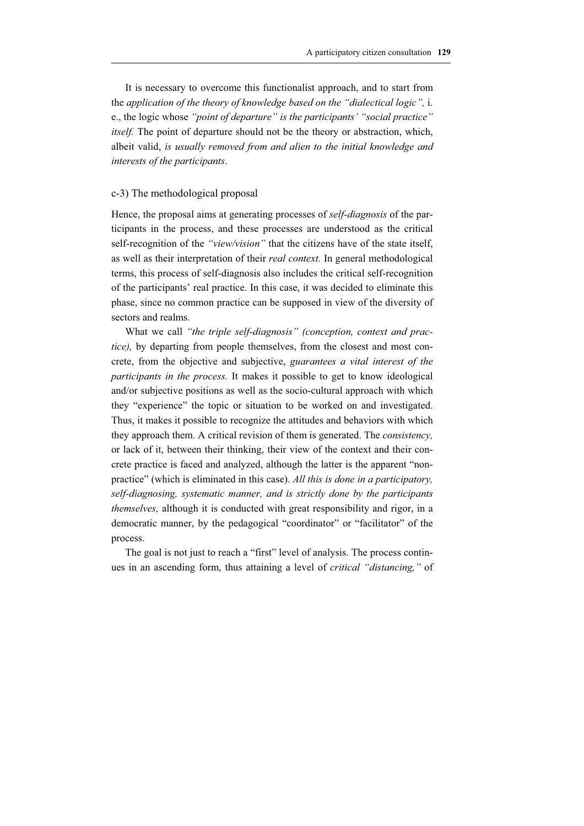It is necessary to overcome this functionalist approach, and to start from the *application of the theory of knowledge based on the "dialectical logic",* i. e., the logic whose *"point of departure" is the participants' "social practice" itself.* The point of departure should not be the theory or abstraction, which, albeit valid, *is usually removed from and alien to the initial knowledge and interests of the participants*.

## c-3) The methodological proposal

Hence, the proposal aims at generating processes of *self-diagnosis* of the participants in the process, and these processes are understood as the critical self-recognition of the *"view/vision"* that the citizens have of the state itself, as well as their interpretation of their *real context.* In general methodological terms, this process of self-diagnosis also includes the critical self-recognition of the participants' real practice. In this case, it was decided to eliminate this phase, since no common practice can be supposed in view of the diversity of sectors and realms.

What we call *"the triple self-diagnosis" (conception, context and practice)*, by departing from people themselves, from the closest and most concrete, from the objective and subjective, *guarantees a vital interest of the participants in the process.* It makes it possible to get to know ideological and/or subjective positions as well as the socio-cultural approach with which they "experience" the topic or situation to be worked on and investigated. Thus, it makes it possible to recognize the attitudes and behaviors with which they approach them. A critical revision of them is generated. The *consistency,* or lack of it, between their thinking, their view of the context and their concrete practice is faced and analyzed, although the latter is the apparent "nonpractice" (which is eliminated in this case). *All this is done in a participatory, self-diagnosing, systematic manner, and is strictly done by the participants themselves,* although it is conducted with great responsibility and rigor, in a democratic manner, by the pedagogical "coordinator" or "facilitator" of the process.

The goal is not just to reach a "first" level of analysis. The process continues in an ascending form, thus attaining a level of *critical "distancing,"* of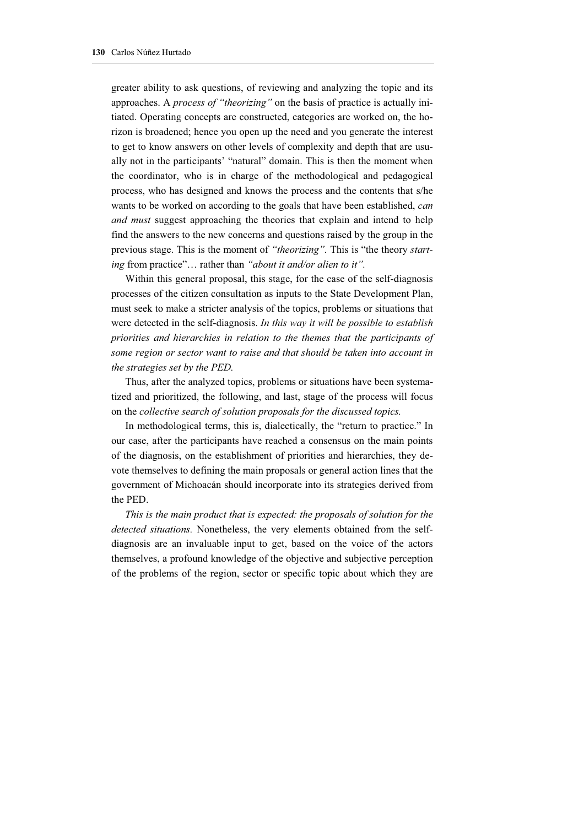greater ability to ask questions, of reviewing and analyzing the topic and its approaches. A *process of "theorizing"* on the basis of practice is actually initiated. Operating concepts are constructed, categories are worked on, the horizon is broadened; hence you open up the need and you generate the interest to get to know answers on other levels of complexity and depth that are usually not in the participants' "natural" domain. This is then the moment when the coordinator, who is in charge of the methodological and pedagogical process, who has designed and knows the process and the contents that s/he wants to be worked on according to the goals that have been established, *can and must* suggest approaching the theories that explain and intend to help find the answers to the new concerns and questions raised by the group in the previous stage. This is the moment of *"theorizing".* This is "the theory *starting* from practice"… rather than *"about it and/or alien to it".* 

Within this general proposal, this stage, for the case of the self-diagnosis processes of the citizen consultation as inputs to the State Development Plan, must seek to make a stricter analysis of the topics, problems or situations that were detected in the self-diagnosis. *In this way it will be possible to establish priorities and hierarchies in relation to the themes that the participants of some region or sector want to raise and that should be taken into account in the strategies set by the PED.* 

Thus, after the analyzed topics, problems or situations have been systematized and prioritized, the following, and last, stage of the process will focus on the *collective search of solution proposals for the discussed topics.* 

In methodological terms, this is, dialectically, the "return to practice." In our case, after the participants have reached a consensus on the main points of the diagnosis, on the establishment of priorities and hierarchies, they devote themselves to defining the main proposals or general action lines that the government of Michoacán should incorporate into its strategies derived from the PED.

*This is the main product that is expected: the proposals of solution for the detected situations.* Nonetheless, the very elements obtained from the selfdiagnosis are an invaluable input to get, based on the voice of the actors themselves, a profound knowledge of the objective and subjective perception of the problems of the region, sector or specific topic about which they are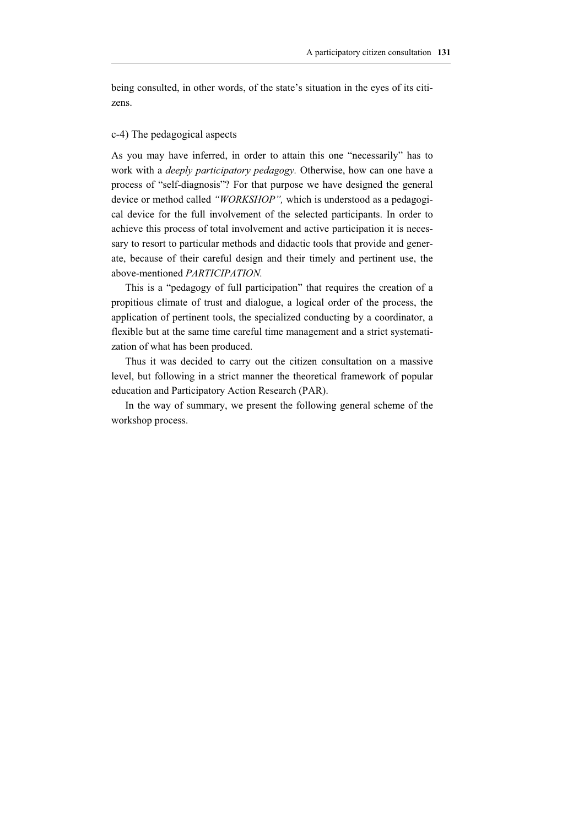being consulted, in other words, of the state's situation in the eyes of its citizens.

## c-4) The pedagogical aspects

As you may have inferred, in order to attain this one "necessarily" has to work with a *deeply participatory pedagogy.* Otherwise, how can one have a process of "self-diagnosis"? For that purpose we have designed the general device or method called *"WORKSHOP",* which is understood as a pedagogical device for the full involvement of the selected participants. In order to achieve this process of total involvement and active participation it is necessary to resort to particular methods and didactic tools that provide and generate, because of their careful design and their timely and pertinent use, the above-mentioned *PARTICIPATION.*

This is a "pedagogy of full participation" that requires the creation of a propitious climate of trust and dialogue, a logical order of the process, the application of pertinent tools, the specialized conducting by a coordinator, a flexible but at the same time careful time management and a strict systematization of what has been produced.

Thus it was decided to carry out the citizen consultation on a massive level, but following in a strict manner the theoretical framework of popular education and Participatory Action Research (PAR).

In the way of summary, we present the following general scheme of the workshop process.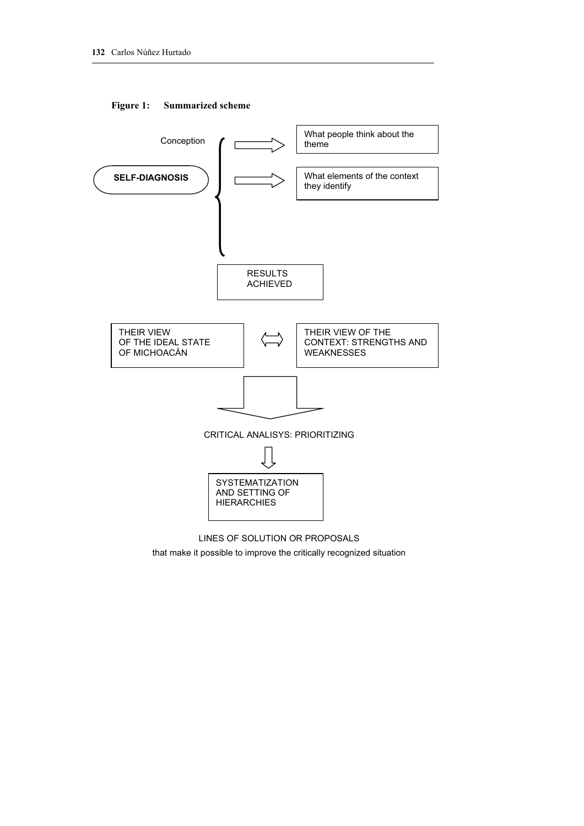

## **Figure 1: Summarized scheme**



that make it possible to improve the critically recognized situation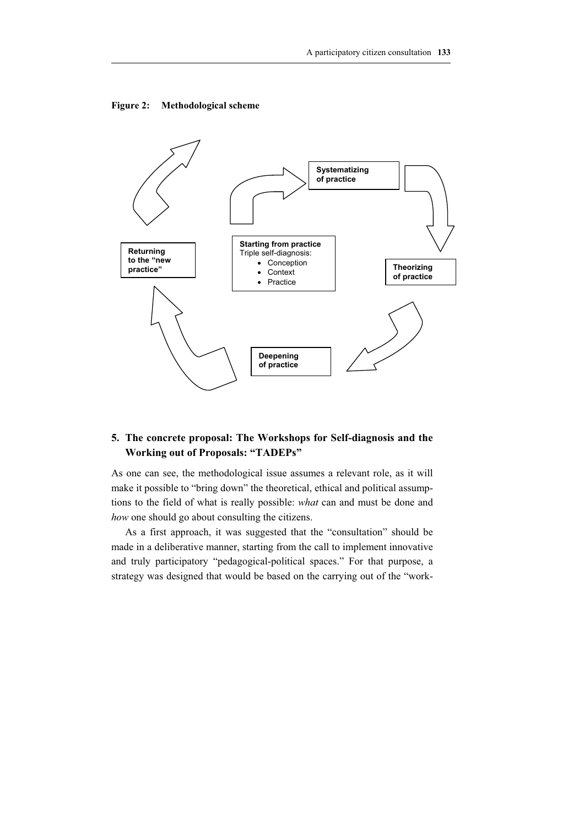



## **5. The concrete proposal: The Workshops for Self-diagnosis and the Working out of Proposals: "TADEPs"**

As one can see, the methodological issue assumes a relevant role, as it will make it possible to "bring down" the theoretical, ethical and political assumptions to the field of what is really possible: *what* can and must be done and *how* one should go about consulting the citizens.

As a first approach, it was suggested that the "consultation" should be made in a deliberative manner, starting from the call to implement innovative and truly participatory "pedagogical-political spaces." For that purpose, a strategy was designed that would be based on the carrying out of the "work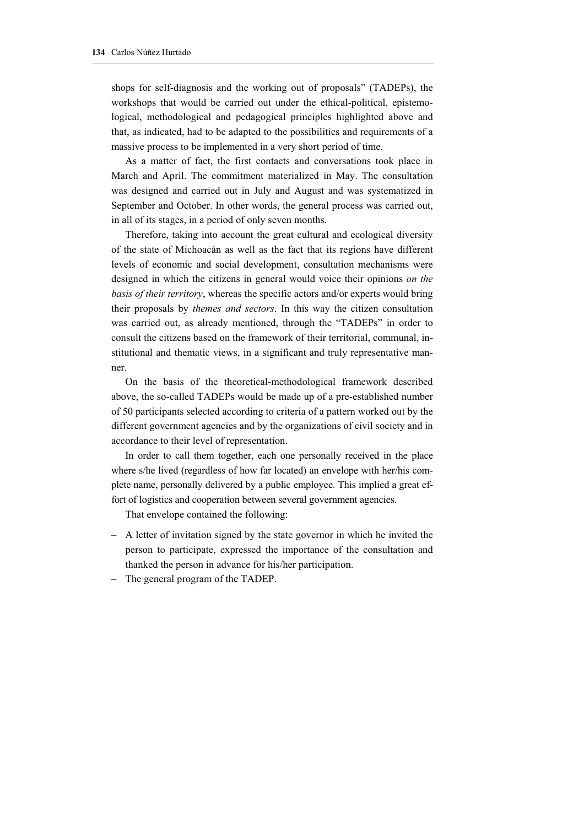shops for self-diagnosis and the working out of proposals" (TADEPs), the workshops that would be carried out under the ethical-political, epistemological, methodological and pedagogical principles highlighted above and that, as indicated, had to be adapted to the possibilities and requirements of a massive process to be implemented in a very short period of time.

As a matter of fact, the first contacts and conversations took place in March and April. The commitment materialized in May. The consultation was designed and carried out in July and August and was systematized in September and October. In other words, the general process was carried out, in all of its stages, in a period of only seven months.

Therefore, taking into account the great cultural and ecological diversity of the state of Michoacán as well as the fact that its regions have different levels of economic and social development, consultation mechanisms were designed in which the citizens in general would voice their opinions *on the basis of their territory*, whereas the specific actors and/or experts would bring their proposals by *themes and sectors*. In this way the citizen consultation was carried out, as already mentioned, through the "TADEPs" in order to consult the citizens based on the framework of their territorial, communal, institutional and thematic views, in a significant and truly representative manner.

On the basis of the theoretical-methodological framework described above, the so-called TADEPs would be made up of a pre-established number of 50 participants selected according to criteria of a pattern worked out by the different government agencies and by the organizations of civil society and in accordance to their level of representation.

In order to call them together, each one personally received in the place where s/he lived (regardless of how far located) an envelope with her/his complete name, personally delivered by a public employee. This implied a great effort of logistics and cooperation between several government agencies.

That envelope contained the following:

- A letter of invitation signed by the state governor in which he invited the person to participate, expressed the importance of the consultation and thanked the person in advance for his/her participation.
- The general program of the TADEP.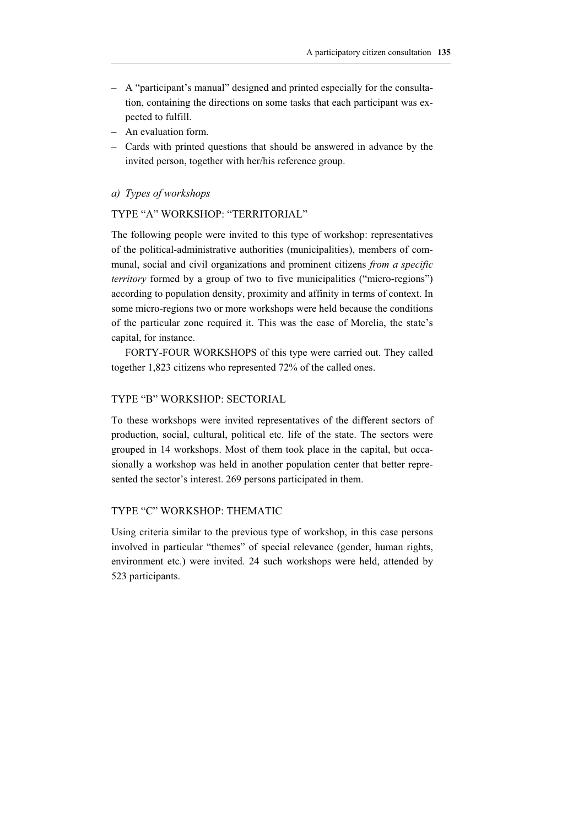- A "participant's manual" designed and printed especially for the consultation, containing the directions on some tasks that each participant was expected to fulfill.
- An evaluation form.
- Cards with printed questions that should be answered in advance by the invited person, together with her/his reference group.

## *a) Types of workshops*

## TYPE "A" WORKSHOP: "TERRITORIAL"

The following people were invited to this type of workshop: representatives of the political-administrative authorities (municipalities), members of communal, social and civil organizations and prominent citizens *from a specific territory* formed by a group of two to five municipalities ("micro-regions") according to population density, proximity and affinity in terms of context. In some micro-regions two or more workshops were held because the conditions of the particular zone required it. This was the case of Morelia, the state's capital, for instance.

FORTY-FOUR WORKSHOPS of this type were carried out. They called together 1,823 citizens who represented 72% of the called ones.

## TYPE "B" WORKSHOP: SECTORIAL

To these workshops were invited representatives of the different sectors of production, social, cultural, political etc. life of the state. The sectors were grouped in 14 workshops. Most of them took place in the capital, but occasionally a workshop was held in another population center that better represented the sector's interest. 269 persons participated in them.

## TYPE "C" WORKSHOP: THEMATIC

Using criteria similar to the previous type of workshop, in this case persons involved in particular "themes" of special relevance (gender, human rights, environment etc.) were invited. 24 such workshops were held, attended by 523 participants.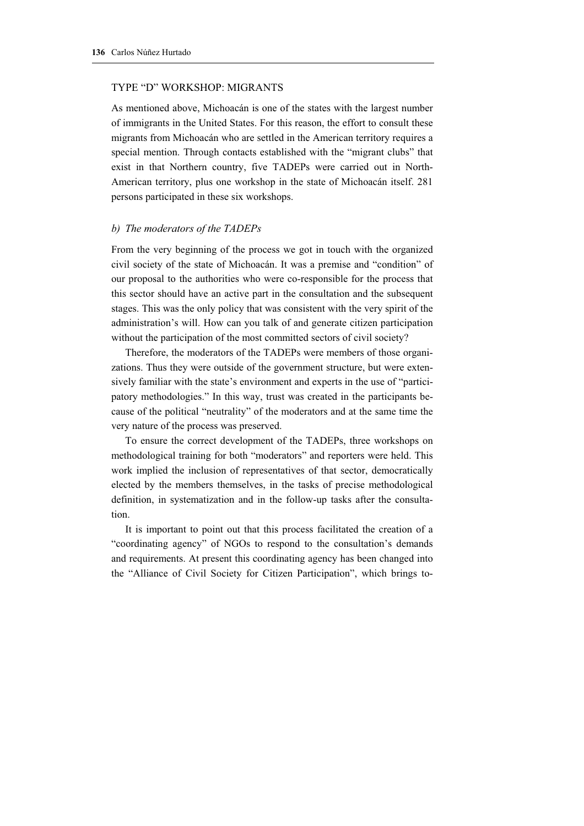#### TYPE "D" WORKSHOP: MIGRANTS

As mentioned above, Michoacán is one of the states with the largest number of immigrants in the United States. For this reason, the effort to consult these migrants from Michoacán who are settled in the American territory requires a special mention. Through contacts established with the "migrant clubs" that exist in that Northern country, five TADEPs were carried out in North-American territory, plus one workshop in the state of Michoacán itself. 281 persons participated in these six workshops.

#### *b) The moderators of the TADEPs*

From the very beginning of the process we got in touch with the organized civil society of the state of Michoacán. It was a premise and "condition" of our proposal to the authorities who were co-responsible for the process that this sector should have an active part in the consultation and the subsequent stages. This was the only policy that was consistent with the very spirit of the administration's will. How can you talk of and generate citizen participation without the participation of the most committed sectors of civil society?

Therefore, the moderators of the TADEPs were members of those organizations. Thus they were outside of the government structure, but were extensively familiar with the state's environment and experts in the use of "participatory methodologies." In this way, trust was created in the participants because of the political "neutrality" of the moderators and at the same time the very nature of the process was preserved.

To ensure the correct development of the TADEPs, three workshops on methodological training for both "moderators" and reporters were held. This work implied the inclusion of representatives of that sector, democratically elected by the members themselves, in the tasks of precise methodological definition, in systematization and in the follow-up tasks after the consultation.

It is important to point out that this process facilitated the creation of a "coordinating agency" of NGOs to respond to the consultation's demands and requirements. At present this coordinating agency has been changed into the "Alliance of Civil Society for Citizen Participation", which brings to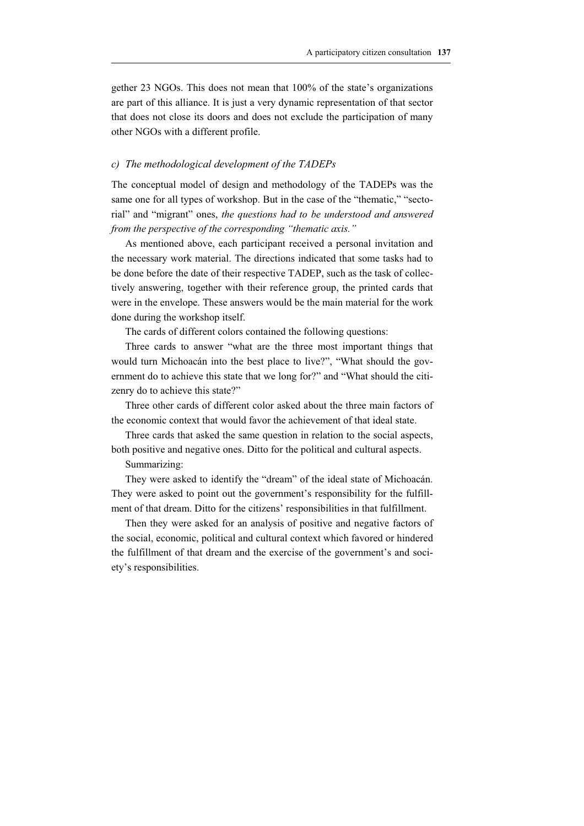gether 23 NGOs. This does not mean that 100% of the state's organizations are part of this alliance. It is just a very dynamic representation of that sector that does not close its doors and does not exclude the participation of many other NGOs with a different profile.

#### *c) The methodological development of the TADEPs*

The conceptual model of design and methodology of the TADEPs was the same one for all types of workshop. But in the case of the "thematic," "sectorial" and "migrant" ones, *the questions had to be understood and answered from the perspective of the corresponding "thematic axis."*

As mentioned above, each participant received a personal invitation and the necessary work material. The directions indicated that some tasks had to be done before the date of their respective TADEP, such as the task of collectively answering, together with their reference group, the printed cards that were in the envelope. These answers would be the main material for the work done during the workshop itself.

The cards of different colors contained the following questions:

Three cards to answer "what are the three most important things that would turn Michoacán into the best place to live?", "What should the government do to achieve this state that we long for?" and "What should the citizenry do to achieve this state?"

Three other cards of different color asked about the three main factors of the economic context that would favor the achievement of that ideal state.

Three cards that asked the same question in relation to the social aspects, both positive and negative ones. Ditto for the political and cultural aspects.

Summarizing:

They were asked to identify the "dream" of the ideal state of Michoacán. They were asked to point out the government's responsibility for the fulfillment of that dream. Ditto for the citizens' responsibilities in that fulfillment.

Then they were asked for an analysis of positive and negative factors of the social, economic, political and cultural context which favored or hindered the fulfillment of that dream and the exercise of the government's and society's responsibilities.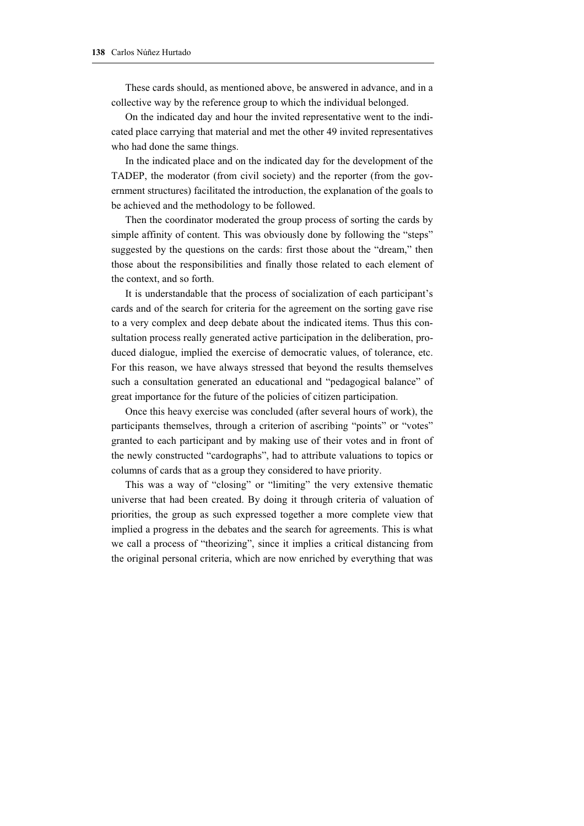These cards should, as mentioned above, be answered in advance, and in a collective way by the reference group to which the individual belonged.

On the indicated day and hour the invited representative went to the indicated place carrying that material and met the other 49 invited representatives who had done the same things.

In the indicated place and on the indicated day for the development of the TADEP, the moderator (from civil society) and the reporter (from the government structures) facilitated the introduction, the explanation of the goals to be achieved and the methodology to be followed.

Then the coordinator moderated the group process of sorting the cards by simple affinity of content. This was obviously done by following the "steps" suggested by the questions on the cards: first those about the "dream," then those about the responsibilities and finally those related to each element of the context, and so forth.

It is understandable that the process of socialization of each participant's cards and of the search for criteria for the agreement on the sorting gave rise to a very complex and deep debate about the indicated items. Thus this consultation process really generated active participation in the deliberation, produced dialogue, implied the exercise of democratic values, of tolerance, etc. For this reason, we have always stressed that beyond the results themselves such a consultation generated an educational and "pedagogical balance" of great importance for the future of the policies of citizen participation.

Once this heavy exercise was concluded (after several hours of work), the participants themselves, through a criterion of ascribing "points" or "votes" granted to each participant and by making use of their votes and in front of the newly constructed "cardographs", had to attribute valuations to topics or columns of cards that as a group they considered to have priority.

This was a way of "closing" or "limiting" the very extensive thematic universe that had been created. By doing it through criteria of valuation of priorities, the group as such expressed together a more complete view that implied a progress in the debates and the search for agreements. This is what we call a process of "theorizing", since it implies a critical distancing from the original personal criteria, which are now enriched by everything that was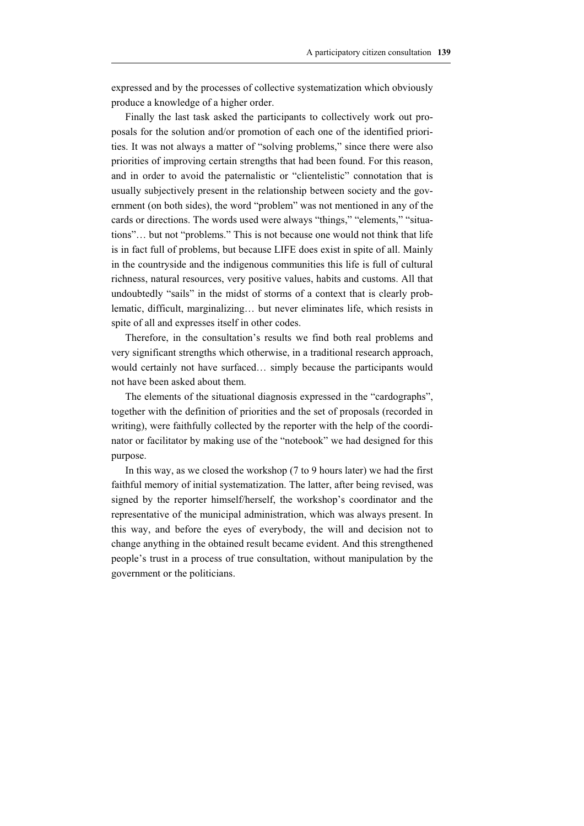expressed and by the processes of collective systematization which obviously produce a knowledge of a higher order.

Finally the last task asked the participants to collectively work out proposals for the solution and/or promotion of each one of the identified priorities. It was not always a matter of "solving problems," since there were also priorities of improving certain strengths that had been found. For this reason, and in order to avoid the paternalistic or "clientelistic" connotation that is usually subjectively present in the relationship between society and the government (on both sides), the word "problem" was not mentioned in any of the cards or directions. The words used were always "things," "elements," "situations"… but not "problems." This is not because one would not think that life is in fact full of problems, but because LIFE does exist in spite of all. Mainly in the countryside and the indigenous communities this life is full of cultural richness, natural resources, very positive values, habits and customs. All that undoubtedly "sails" in the midst of storms of a context that is clearly problematic, difficult, marginalizing… but never eliminates life, which resists in spite of all and expresses itself in other codes.

Therefore, in the consultation's results we find both real problems and very significant strengths which otherwise, in a traditional research approach, would certainly not have surfaced… simply because the participants would not have been asked about them.

The elements of the situational diagnosis expressed in the "cardographs", together with the definition of priorities and the set of proposals (recorded in writing), were faithfully collected by the reporter with the help of the coordinator or facilitator by making use of the "notebook" we had designed for this purpose.

In this way, as we closed the workshop (7 to 9 hours later) we had the first faithful memory of initial systematization. The latter, after being revised, was signed by the reporter himself/herself, the workshop's coordinator and the representative of the municipal administration, which was always present. In this way, and before the eyes of everybody, the will and decision not to change anything in the obtained result became evident. And this strengthened people's trust in a process of true consultation, without manipulation by the government or the politicians.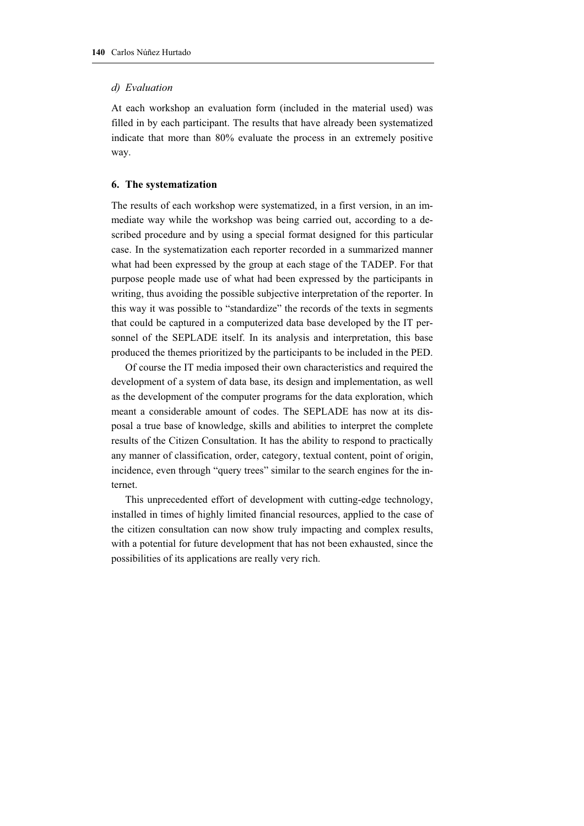#### *d) Evaluation*

At each workshop an evaluation form (included in the material used) was filled in by each participant. The results that have already been systematized indicate that more than 80% evaluate the process in an extremely positive way.

## **6. The systematization**

The results of each workshop were systematized, in a first version, in an immediate way while the workshop was being carried out, according to a described procedure and by using a special format designed for this particular case. In the systematization each reporter recorded in a summarized manner what had been expressed by the group at each stage of the TADEP. For that purpose people made use of what had been expressed by the participants in writing, thus avoiding the possible subjective interpretation of the reporter. In this way it was possible to "standardize" the records of the texts in segments that could be captured in a computerized data base developed by the IT personnel of the SEPLADE itself. In its analysis and interpretation, this base produced the themes prioritized by the participants to be included in the PED.

Of course the IT media imposed their own characteristics and required the development of a system of data base, its design and implementation, as well as the development of the computer programs for the data exploration, which meant a considerable amount of codes. The SEPLADE has now at its disposal a true base of knowledge, skills and abilities to interpret the complete results of the Citizen Consultation. It has the ability to respond to practically any manner of classification, order, category, textual content, point of origin, incidence, even through "query trees" similar to the search engines for the internet.

This unprecedented effort of development with cutting-edge technology, installed in times of highly limited financial resources, applied to the case of the citizen consultation can now show truly impacting and complex results, with a potential for future development that has not been exhausted, since the possibilities of its applications are really very rich.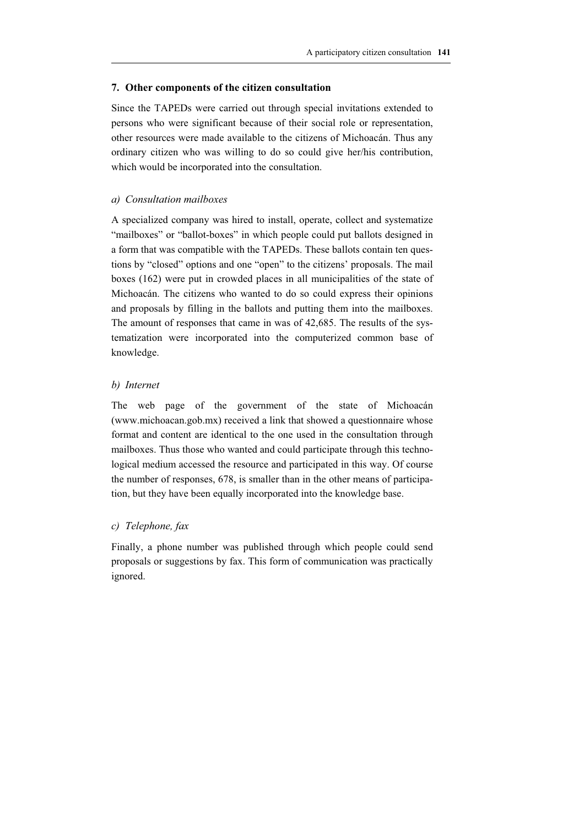#### **7. Other components of the citizen consultation**

Since the TAPEDs were carried out through special invitations extended to persons who were significant because of their social role or representation, other resources were made available to the citizens of Michoacán. Thus any ordinary citizen who was willing to do so could give her/his contribution, which would be incorporated into the consultation.

## *a) Consultation mailboxes*

A specialized company was hired to install, operate, collect and systematize "mailboxes" or "ballot-boxes" in which people could put ballots designed in a form that was compatible with the TAPEDs. These ballots contain ten questions by "closed" options and one "open" to the citizens' proposals. The mail boxes (162) were put in crowded places in all municipalities of the state of Michoacán. The citizens who wanted to do so could express their opinions and proposals by filling in the ballots and putting them into the mailboxes. The amount of responses that came in was of 42,685. The results of the systematization were incorporated into the computerized common base of knowledge.

#### *b) Internet*

The web page of the government of the state of Michoacán (www.michoacan.gob.mx) received a link that showed a questionnaire whose format and content are identical to the one used in the consultation through mailboxes. Thus those who wanted and could participate through this technological medium accessed the resource and participated in this way. Of course the number of responses, 678, is smaller than in the other means of participation, but they have been equally incorporated into the knowledge base.

## *c) Telephone, fax*

Finally, a phone number was published through which people could send proposals or suggestions by fax. This form of communication was practically ignored.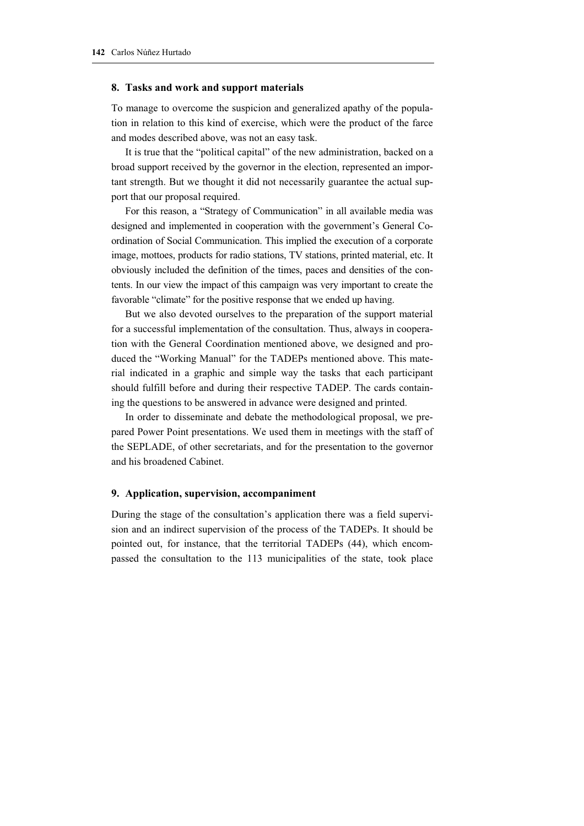#### **8. Tasks and work and support materials**

To manage to overcome the suspicion and generalized apathy of the population in relation to this kind of exercise, which were the product of the farce and modes described above, was not an easy task.

It is true that the "political capital" of the new administration, backed on a broad support received by the governor in the election, represented an important strength. But we thought it did not necessarily guarantee the actual support that our proposal required.

For this reason, a "Strategy of Communication" in all available media was designed and implemented in cooperation with the government's General Coordination of Social Communication. This implied the execution of a corporate image, mottoes, products for radio stations, TV stations, printed material, etc. It obviously included the definition of the times, paces and densities of the contents. In our view the impact of this campaign was very important to create the favorable "climate" for the positive response that we ended up having.

But we also devoted ourselves to the preparation of the support material for a successful implementation of the consultation. Thus, always in cooperation with the General Coordination mentioned above, we designed and produced the "Working Manual" for the TADEPs mentioned above. This material indicated in a graphic and simple way the tasks that each participant should fulfill before and during their respective TADEP. The cards containing the questions to be answered in advance were designed and printed.

In order to disseminate and debate the methodological proposal, we prepared Power Point presentations. We used them in meetings with the staff of the SEPLADE, of other secretariats, and for the presentation to the governor and his broadened Cabinet.

## **9. Application, supervision, accompaniment**

During the stage of the consultation's application there was a field supervision and an indirect supervision of the process of the TADEPs. It should be pointed out, for instance, that the territorial TADEPs (44), which encompassed the consultation to the 113 municipalities of the state, took place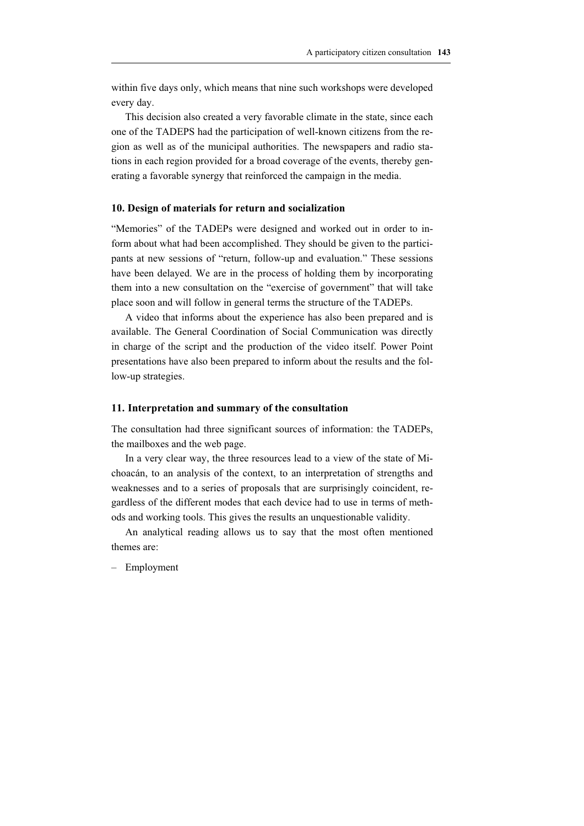A participatory citizen consultation **143**

within five days only, which means that nine such workshops were developed every day.

This decision also created a very favorable climate in the state, since each one of the TADEPS had the participation of well-known citizens from the region as well as of the municipal authorities. The newspapers and radio stations in each region provided for a broad coverage of the events, thereby generating a favorable synergy that reinforced the campaign in the media.

## **10. Design of materials for return and socialization**

"Memories" of the TADEPs were designed and worked out in order to inform about what had been accomplished. They should be given to the participants at new sessions of "return, follow-up and evaluation." These sessions have been delayed. We are in the process of holding them by incorporating them into a new consultation on the "exercise of government" that will take place soon and will follow in general terms the structure of the TADEPs.

A video that informs about the experience has also been prepared and is available. The General Coordination of Social Communication was directly in charge of the script and the production of the video itself. Power Point presentations have also been prepared to inform about the results and the follow-up strategies.

## **11. Interpretation and summary of the consultation**

The consultation had three significant sources of information: the TADEPs, the mailboxes and the web page.

In a very clear way, the three resources lead to a view of the state of Michoacán, to an analysis of the context, to an interpretation of strengths and weaknesses and to a series of proposals that are surprisingly coincident, regardless of the different modes that each device had to use in terms of methods and working tools. This gives the results an unquestionable validity.

An analytical reading allows us to say that the most often mentioned themes are:

– Employment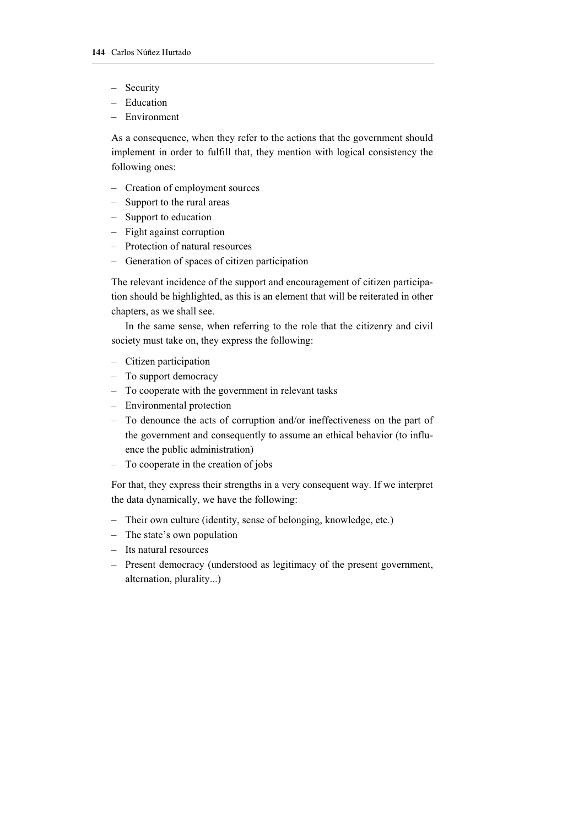- Security
- Education
- Environment

As a consequence, when they refer to the actions that the government should implement in order to fulfill that, they mention with logical consistency the following ones:

- Creation of employment sources
- Support to the rural areas
- Support to education
- Fight against corruption
- Protection of natural resources
- Generation of spaces of citizen participation

The relevant incidence of the support and encouragement of citizen participation should be highlighted, as this is an element that will be reiterated in other chapters, as we shall see.

In the same sense, when referring to the role that the citizenry and civil society must take on, they express the following:

- Citizen participation
- To support democracy
- To cooperate with the government in relevant tasks
- Environmental protection
- To denounce the acts of corruption and/or ineffectiveness on the part of the government and consequently to assume an ethical behavior (to influence the public administration)
- To cooperate in the creation of jobs

For that, they express their strengths in a very consequent way. If we interpret the data dynamically, we have the following:

- Their own culture (identity, sense of belonging, knowledge, etc.)
- The state's own population
- Its natural resources
- Present democracy (understood as legitimacy of the present government, alternation, plurality...)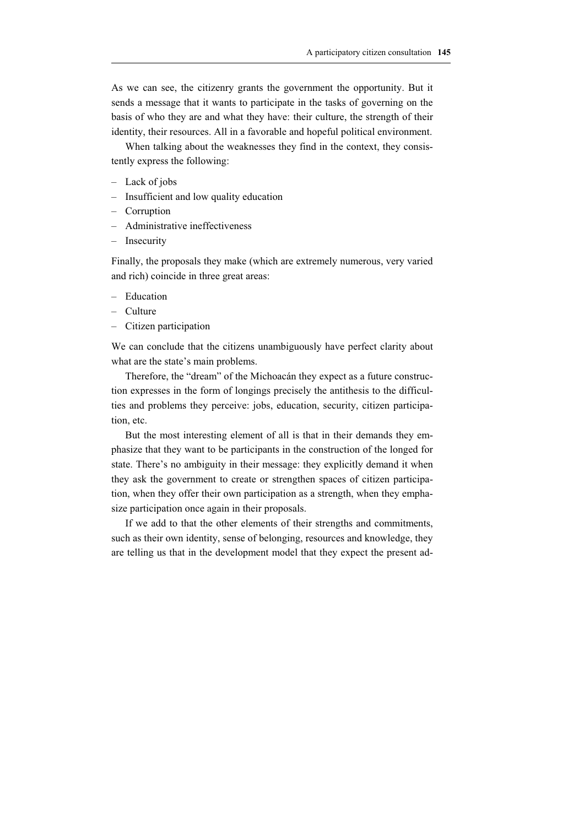As we can see, the citizenry grants the government the opportunity. But it sends a message that it wants to participate in the tasks of governing on the basis of who they are and what they have: their culture, the strength of their identity, their resources. All in a favorable and hopeful political environment.

When talking about the weaknesses they find in the context, they consistently express the following:

- Lack of jobs
- Insufficient and low quality education
- Corruption
- Administrative ineffectiveness
- Insecurity

Finally, the proposals they make (which are extremely numerous, very varied and rich) coincide in three great areas:

- Education
- Culture
- Citizen participation

We can conclude that the citizens unambiguously have perfect clarity about what are the state's main problems.

Therefore, the "dream" of the Michoacán they expect as a future construction expresses in the form of longings precisely the antithesis to the difficulties and problems they perceive: jobs, education, security, citizen participation, etc.

But the most interesting element of all is that in their demands they emphasize that they want to be participants in the construction of the longed for state. There's no ambiguity in their message: they explicitly demand it when they ask the government to create or strengthen spaces of citizen participation, when they offer their own participation as a strength, when they emphasize participation once again in their proposals.

If we add to that the other elements of their strengths and commitments, such as their own identity, sense of belonging, resources and knowledge, they are telling us that in the development model that they expect the present ad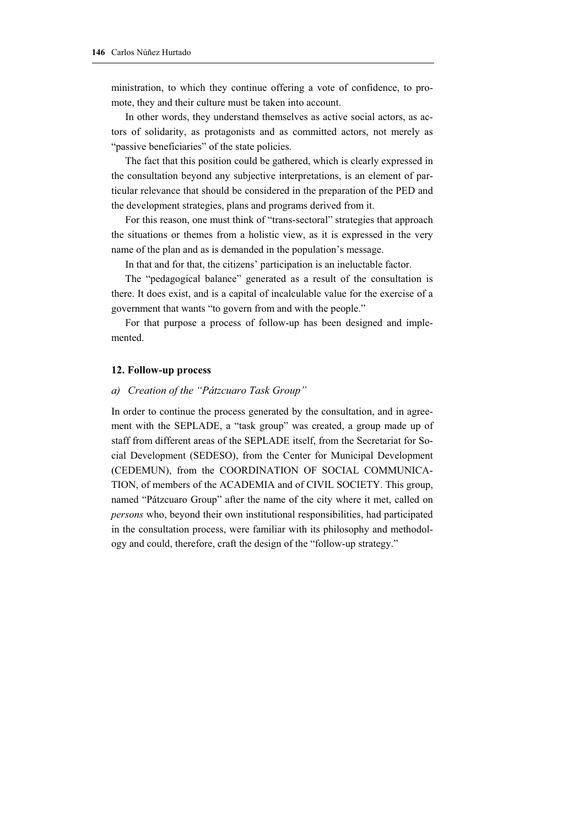ministration, to which they continue offering a vote of confidence, to promote, they and their culture must be taken into account.

In other words, they understand themselves as active social actors, as actors of solidarity, as protagonists and as committed actors, not merely as "passive beneficiaries" of the state policies.

The fact that this position could be gathered, which is clearly expressed in the consultation beyond any subjective interpretations, is an element of particular relevance that should be considered in the preparation of the PED and the development strategies, plans and programs derived from it.

For this reason, one must think of "trans-sectoral" strategies that approach the situations or themes from a holistic view, as it is expressed in the very name of the plan and as is demanded in the population's message.

In that and for that, the citizens' participation is an ineluctable factor.

The "pedagogical balance" generated as a result of the consultation is there. It does exist, and is a capital of incalculable value for the exercise of a government that wants "to govern from and with the people."

For that purpose a process of follow-up has been designed and implemented.

## **12. Follow-up process**

## *a) Creation of the "Pátzcuaro Task Group"*

In order to continue the process generated by the consultation, and in agreement with the SEPLADE, a "task group" was created, a group made up of staff from different areas of the SEPLADE itself, from the Secretariat for Social Development (SEDESO), from the Center for Municipal Development (CEDEMUN), from the COORDINATION OF SOCIAL COMMUNICA-TION, of members of the ACADEMIA and of CIVIL SOCIETY. This group, named "Pátzcuaro Group" after the name of the city where it met, called on *persons* who, beyond their own institutional responsibilities, had participated in the consultation process, were familiar with its philosophy and methodology and could, therefore, craft the design of the "follow-up strategy."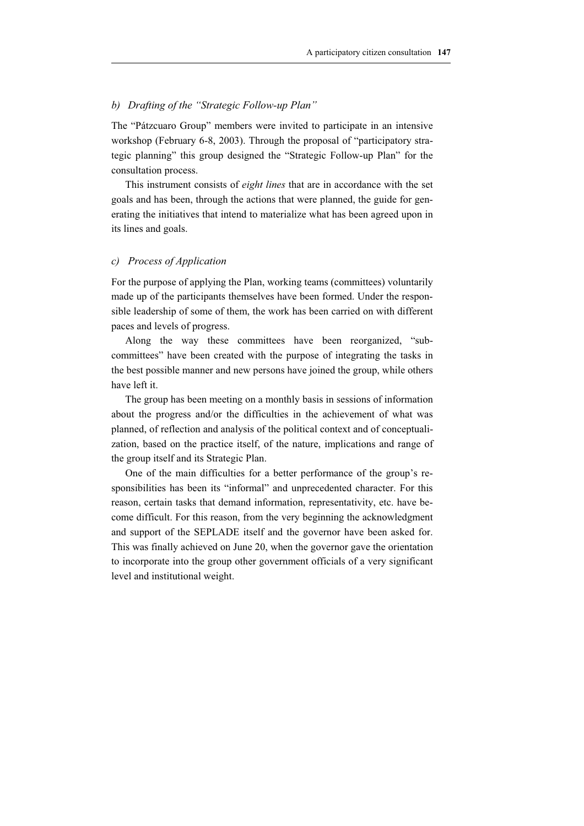## *b) Drafting of the "Strategic Follow-up Plan"*

The "Pátzcuaro Group" members were invited to participate in an intensive workshop (February 6-8, 2003). Through the proposal of "participatory strategic planning" this group designed the "Strategic Follow-up Plan" for the consultation process.

This instrument consists of *eight lines* that are in accordance with the set goals and has been, through the actions that were planned, the guide for generating the initiatives that intend to materialize what has been agreed upon in its lines and goals.

#### *c) Process of Application*

For the purpose of applying the Plan, working teams (committees) voluntarily made up of the participants themselves have been formed. Under the responsible leadership of some of them, the work has been carried on with different paces and levels of progress.

Along the way these committees have been reorganized, "subcommittees" have been created with the purpose of integrating the tasks in the best possible manner and new persons have joined the group, while others have left it.

The group has been meeting on a monthly basis in sessions of information about the progress and/or the difficulties in the achievement of what was planned, of reflection and analysis of the political context and of conceptualization, based on the practice itself, of the nature, implications and range of the group itself and its Strategic Plan.

One of the main difficulties for a better performance of the group's responsibilities has been its "informal" and unprecedented character. For this reason, certain tasks that demand information, representativity, etc. have become difficult. For this reason, from the very beginning the acknowledgment and support of the SEPLADE itself and the governor have been asked for. This was finally achieved on June 20, when the governor gave the orientation to incorporate into the group other government officials of a very significant level and institutional weight.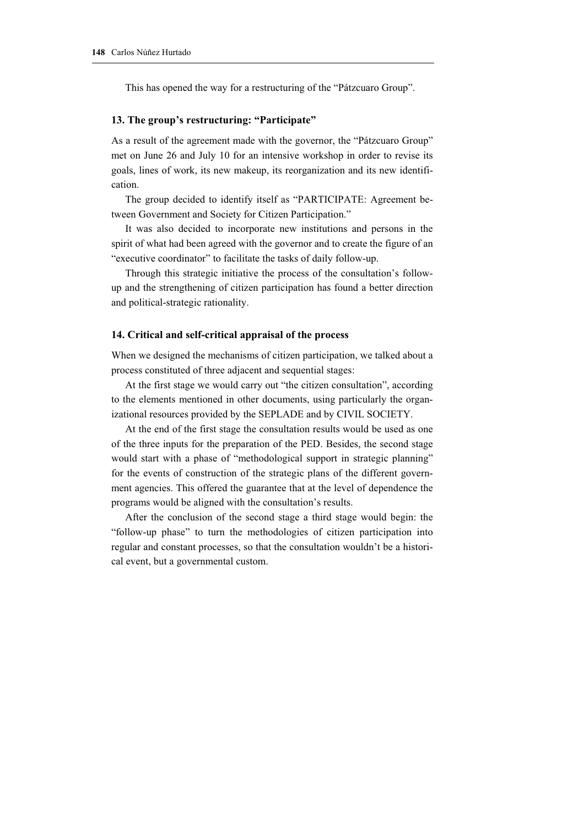This has opened the way for a restructuring of the "Pátzcuaro Group".

## **13. The group's restructuring: "Participate"**

As a result of the agreement made with the governor, the "Pátzcuaro Group" met on June 26 and July 10 for an intensive workshop in order to revise its goals, lines of work, its new makeup, its reorganization and its new identification.

The group decided to identify itself as "PARTICIPATE: Agreement between Government and Society for Citizen Participation."

It was also decided to incorporate new institutions and persons in the spirit of what had been agreed with the governor and to create the figure of an "executive coordinator" to facilitate the tasks of daily follow-up.

Through this strategic initiative the process of the consultation's followup and the strengthening of citizen participation has found a better direction and political-strategic rationality.

#### **14. Critical and self-critical appraisal of the process**

When we designed the mechanisms of citizen participation, we talked about a process constituted of three adjacent and sequential stages:

At the first stage we would carry out "the citizen consultation", according to the elements mentioned in other documents, using particularly the organizational resources provided by the SEPLADE and by CIVIL SOCIETY.

At the end of the first stage the consultation results would be used as one of the three inputs for the preparation of the PED. Besides, the second stage would start with a phase of "methodological support in strategic planning" for the events of construction of the strategic plans of the different government agencies. This offered the guarantee that at the level of dependence the programs would be aligned with the consultation's results.

After the conclusion of the second stage a third stage would begin: the "follow-up phase" to turn the methodologies of citizen participation into regular and constant processes, so that the consultation wouldn't be a historical event, but a governmental custom.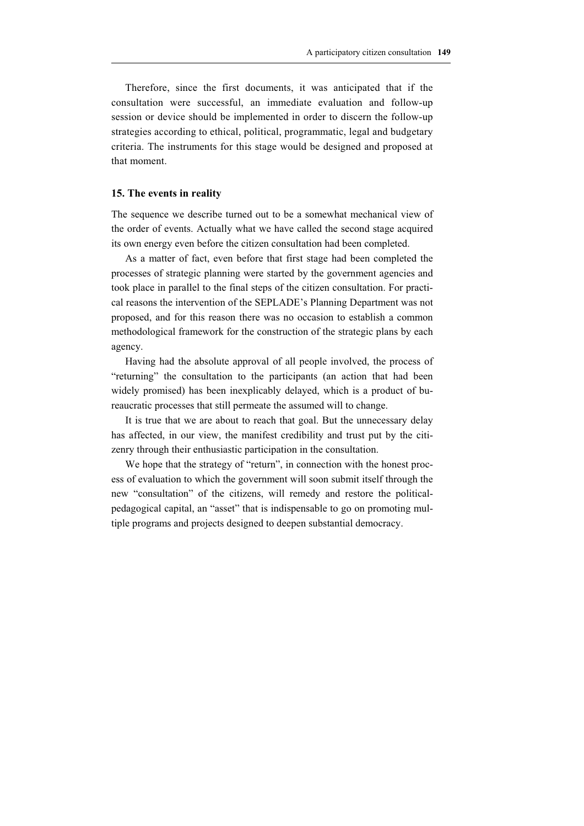Therefore, since the first documents, it was anticipated that if the consultation were successful, an immediate evaluation and follow-up session or device should be implemented in order to discern the follow-up strategies according to ethical, political, programmatic, legal and budgetary criteria. The instruments for this stage would be designed and proposed at that moment.

## **15. The events in reality**

The sequence we describe turned out to be a somewhat mechanical view of the order of events. Actually what we have called the second stage acquired its own energy even before the citizen consultation had been completed.

As a matter of fact, even before that first stage had been completed the processes of strategic planning were started by the government agencies and took place in parallel to the final steps of the citizen consultation. For practical reasons the intervention of the SEPLADE's Planning Department was not proposed, and for this reason there was no occasion to establish a common methodological framework for the construction of the strategic plans by each agency.

Having had the absolute approval of all people involved, the process of "returning" the consultation to the participants (an action that had been widely promised) has been inexplicably delayed, which is a product of bureaucratic processes that still permeate the assumed will to change.

It is true that we are about to reach that goal. But the unnecessary delay has affected, in our view, the manifest credibility and trust put by the citizenry through their enthusiastic participation in the consultation.

We hope that the strategy of "return", in connection with the honest process of evaluation to which the government will soon submit itself through the new "consultation" of the citizens, will remedy and restore the politicalpedagogical capital, an "asset" that is indispensable to go on promoting multiple programs and projects designed to deepen substantial democracy.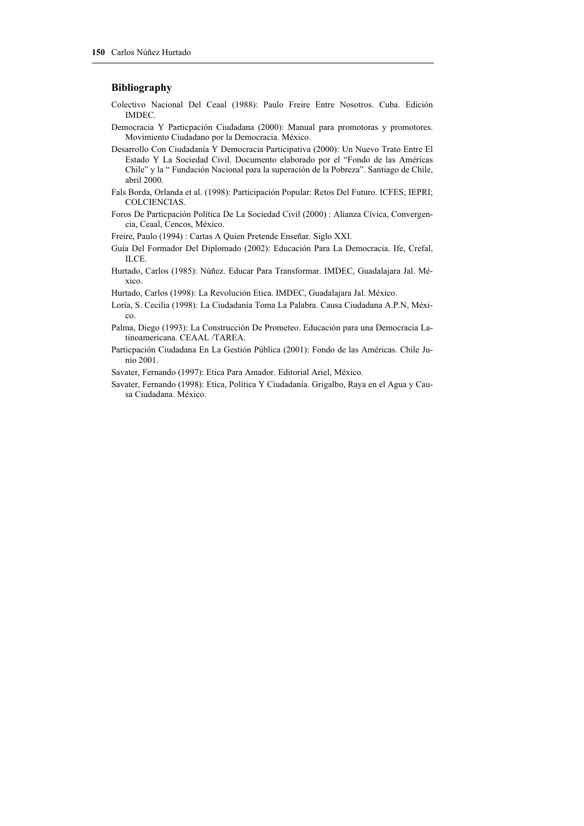#### **Bibliography**

- Colectivo Nacional Del Ceaal (1988): Paulo Freire Entre Nosotros. Cuba. Edición IMDEC.
- Democracia Y Particpación Ciudadana (2000): Manual para promotoras y promotores. Movimiento Ciudadano por la Democracia. México.
- Desarrollo Con Ciudadanía Y Democracia Participativa (2000): Un Nuevo Trato Entre El Estado Y La Sociedad Civil. Documento elaborado por el "Fondo de las Américas Chile" y la " Fundación Nacional para la superación de la Pobreza". Santiago de Chile, abril 2000.
- Fals Borda, Orlanda et al. (1998): Participación Popular: Retos Del Futuro. ICFES; IEPRI; COLCIENCIAS.
- Foros De Particpación Política De La Sociedad Civil (2000) : Alianza Cívica, Convergencia, Ceaal, Cencos, México.
- Freire, Paulo (1994) : Cartas A Quien Pretende Enseñar. Siglo XXI.
- Guía Del Formador Del Diplomado (2002): Educación Para La Democracia. Ife, Crefal, ILCE.
- Hurtado, Carlos (1985): Núñez. Educar Para Transformar. IMDEC, Guadalajara Jal. México.
- Hurtado, Carlos (1998): La Revolución Etica. IMDEC, Guadalajara Jal. México.
- Loría, S. Cecilia (1998): La Ciudadanía Toma La Palabra. Causa Ciudadana A.P.N, México.
- Palma, Diego (1993): La Construcción De Prometeo. Educación para una Democracia Latinoamericana. CEAAL /TAREA.
- Particpación Ciudadana En La Gestión Pública (2001): Fondo de las Américas. Chile Junio 2001.
- Savater, Fernando (1997): Etica Para Amador. Editorial Ariel, México.
- Savater, Fernando (1998): Etica, Política Y Ciudadanía. Grigalbo, Raya en el Agua y Causa Ciudadana. México.